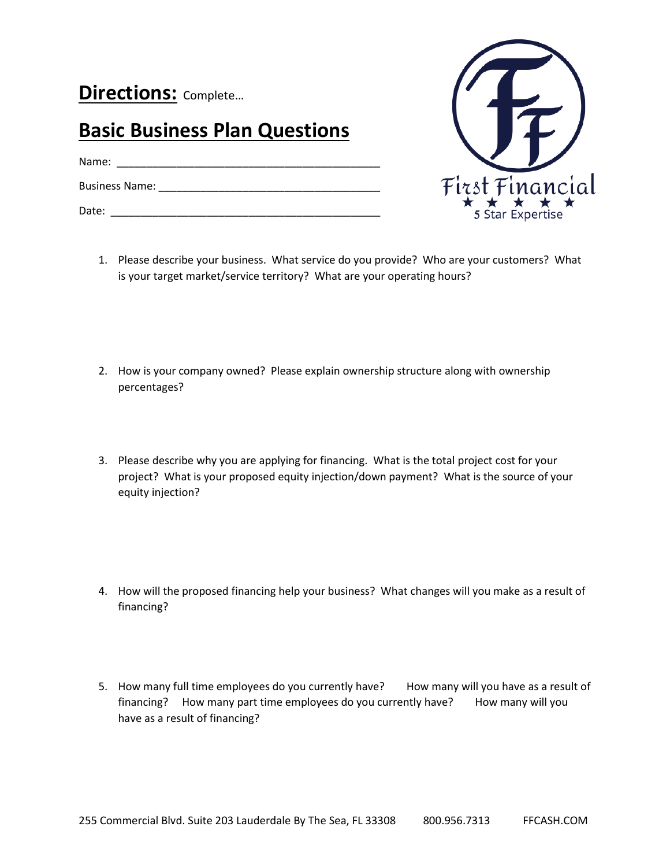**Directions:** Complete…

## **Basic Business Plan Questions**

Name: \_\_\_\_\_\_\_\_\_\_\_\_\_\_\_\_\_\_\_\_\_\_\_\_\_\_\_\_\_\_\_\_\_\_\_\_\_\_\_\_\_\_\_\_

Business Name: \_\_\_\_\_\_\_\_\_\_\_\_\_\_\_\_\_\_\_\_\_\_\_\_\_\_\_\_\_\_\_\_\_\_\_\_\_

Date: \_\_\_\_\_\_\_\_\_\_\_\_\_\_\_\_\_\_\_\_\_\_\_\_\_\_\_\_\_\_\_\_\_\_\_\_\_\_\_\_\_\_\_\_\_



- 1. Please describe your business. What service do you provide? Who are your customers? What is your target market/service territory? What are your operating hours?
- 2. How is your company owned? Please explain ownership structure along with ownership percentages?
- 3. Please describe why you are applying for financing. What is the total project cost for your project? What is your proposed equity injection/down payment? What is the source of your equity injection?
- 4. How will the proposed financing help your business? What changes will you make as a result of financing?
- 5. How many full time employees do you currently have? How many will you have as a result of financing? How many part time employees do you currently have? How many will you have as a result of financing?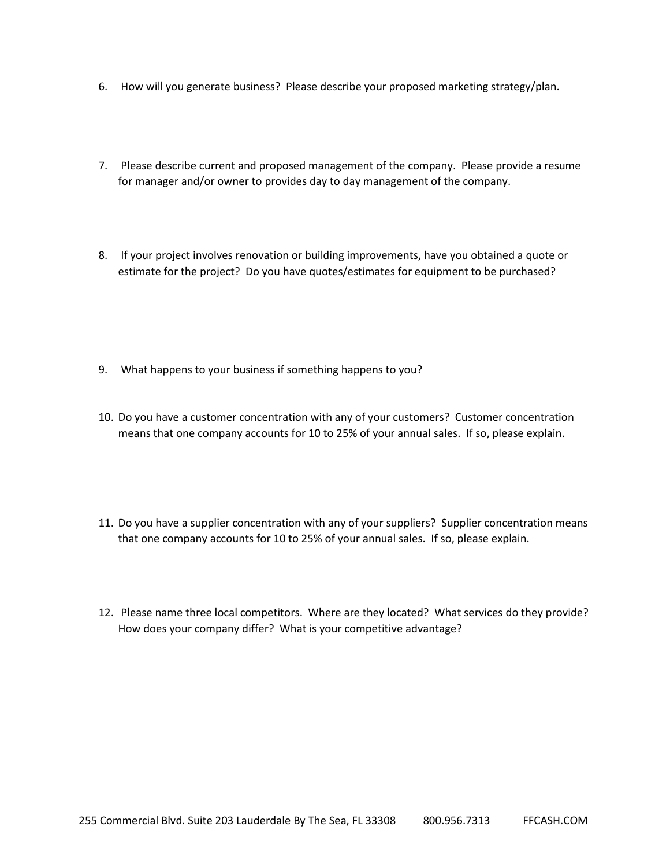- 6. How will you generate business? Please describe your proposed marketing strategy/plan.
- 7. Please describe current and proposed management of the company. Please provide a resume for manager and/or owner to provides day to day management of the company.
- 8. If your project involves renovation or building improvements, have you obtained a quote or estimate for the project? Do you have quotes/estimates for equipment to be purchased?
- 9. What happens to your business if something happens to you?
- 10. Do you have a customer concentration with any of your customers? Customer concentration means that one company accounts for 10 to 25% of your annual sales. If so, please explain.
- 11. Do you have a supplier concentration with any of your suppliers? Supplier concentration means that one company accounts for 10 to 25% of your annual sales. If so, please explain.
- 12. Please name three local competitors. Where are they located? What services do they provide? How does your company differ? What is your competitive advantage?